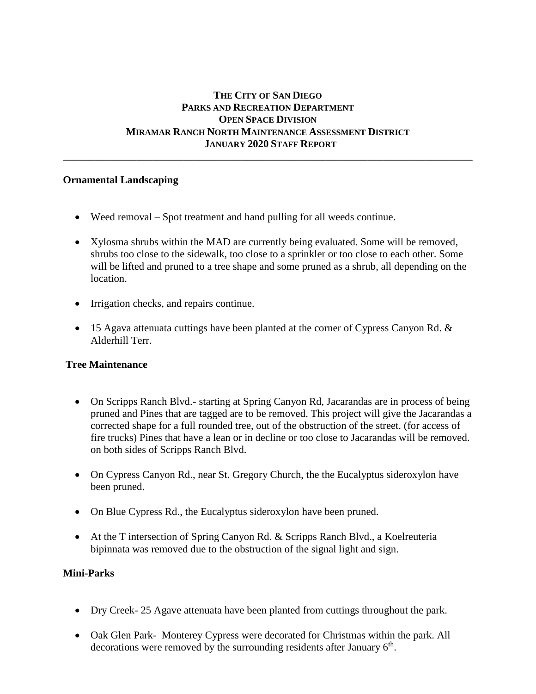# **THE CITY OF SAN DIEGO PARKS AND RECREATION DEPARTMENT OPEN SPACE DIVISION MIRAMAR RANCH NORTH MAINTENANCE ASSESSMENT DISTRICT JANUARY 2020 STAFF REPORT**

\_\_\_\_\_\_\_\_\_\_\_\_\_\_\_\_\_\_\_\_\_\_\_\_\_\_\_\_\_\_\_\_\_\_\_\_\_\_\_\_\_\_\_\_\_\_\_\_\_\_\_\_\_\_\_\_\_\_\_\_\_\_\_\_\_\_\_\_\_\_\_\_\_\_\_\_\_\_

### **Ornamental Landscaping**

- Weed removal Spot treatment and hand pulling for all weeds continue.
- Xylosma shrubs within the MAD are currently being evaluated. Some will be removed, shrubs too close to the sidewalk, too close to a sprinkler or too close to each other. Some will be lifted and pruned to a tree shape and some pruned as a shrub, all depending on the location.
- Irrigation checks, and repairs continue.
- 15 Agava attenuata cuttings have been planted at the corner of Cypress Canyon Rd. & Alderhill Terr.

#### **Tree Maintenance**

- On Scripps Ranch Blvd.- starting at Spring Canyon Rd, Jacarandas are in process of being pruned and Pines that are tagged are to be removed. This project will give the Jacarandas a corrected shape for a full rounded tree, out of the obstruction of the street. (for access of fire trucks) Pines that have a lean or in decline or too close to Jacarandas will be removed. on both sides of Scripps Ranch Blvd.
- On Cypress Canyon Rd., near St. Gregory Church, the the Eucalyptus sideroxylon have been pruned.
- On Blue Cypress Rd., the Eucalyptus sideroxylon have been pruned.
- At the T intersection of Spring Canyon Rd. & Scripps Ranch Blvd., a Koelreuteria bipinnata was removed due to the obstruction of the signal light and sign.

#### **Mini-Parks**

- Dry Creek- 25 Agave attenuata have been planted from cuttings throughout the park.
- Oak Glen Park- Monterey Cypress were decorated for Christmas within the park. All decorations were removed by the surrounding residents after January  $6<sup>th</sup>$ .